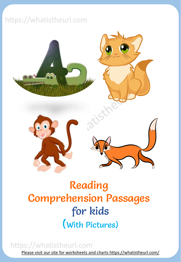## https://whatistheurl.com



## Reading Comprehension Passages for kids (With Pictures)

## https://whatistheurl.com [Please visit our site for worksheets and charts https://whatistheurl.com/](https://whatistheurl.com/)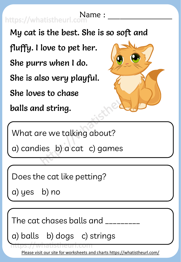https://whatistheurl.com

My cat is the best. She is so soft and

fluffy. I love to pet her.

She purrs when I do.

She is also very playful.

She loves to chase

balls and string.



What are we talking about?

a) candies b) a cat c) games

Does the cat like petting?

a) yes b) no

The cat chases balls and  $\hphantom{a}$ 

a) balls b) dogs c) strings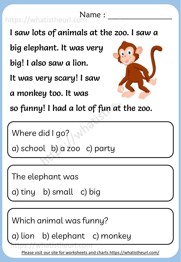I saw lots of animals at the zoo. I saw a big elephant. It was very big! I also saw a lion. It was very scary! I saw a monkey too. It was so funny! I had a lot of fun at the zoo. https://whatistheurl.com

Where did I go?

a) school b) a zoo c) party

The elephant was

a) tiny b) small c) big

Which animal was funny?

a) lion b) elephant c) monkey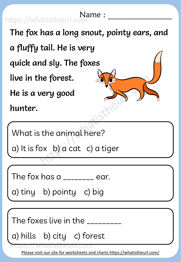| Name://whatistheurl.com                    |
|--------------------------------------------|
| The fox has a long snout, pointy ears, and |
| a fluffy tail. He is very                  |
| quick and sly. The foxes                   |
| live in the forest.                        |
| He is a very good                          |
| hunter.                                    |
|                                            |

What is the animal here?

a) It is fox b) a cat c) a tiger

The fox has a \_\_\_\_\_\_\_\_ ear.

a) tiny b) pointy c) big

The foxes live in the \_\_\_\_\_\_\_\_\_

a) hills b) city c) forest

**TILLD**